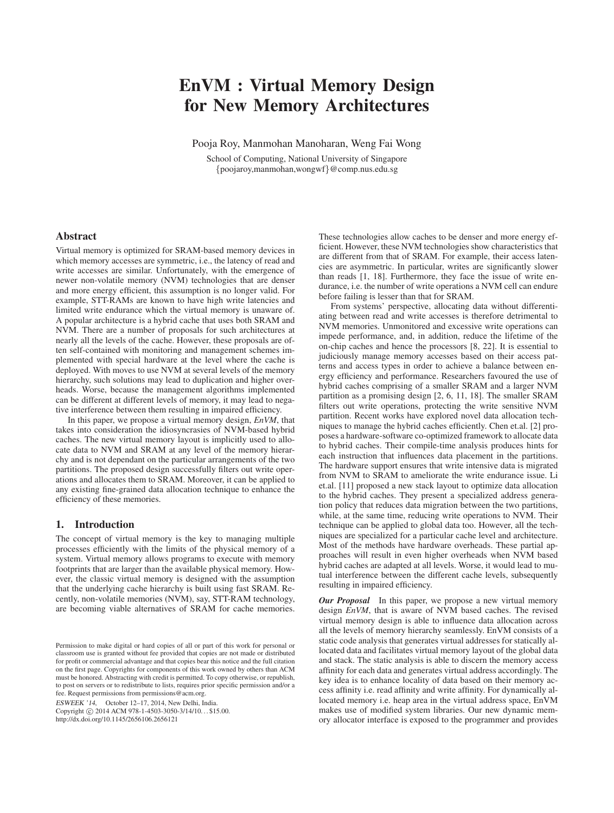# EnVM : Virtual Memory Design for New Memory Architectures

Pooja Roy, Manmohan Manoharan, Weng Fai Wong

School of Computing, National University of Singapore {poojaroy,manmohan,wongwf}@comp.nus.edu.sg

# Abstract

Virtual memory is optimized for SRAM-based memory devices in which memory accesses are symmetric, i.e., the latency of read and write accesses are similar. Unfortunately, with the emergence of newer non-volatile memory (NVM) technologies that are denser and more energy efficient, this assumption is no longer valid. For example, STT-RAMs are known to have high write latencies and limited write endurance which the virtual memory is unaware of. A popular architecture is a hybrid cache that uses both SRAM and NVM. There are a number of proposals for such architectures at nearly all the levels of the cache. However, these proposals are often self-contained with monitoring and management schemes implemented with special hardware at the level where the cache is deployed. With moves to use NVM at several levels of the memory hierarchy, such solutions may lead to duplication and higher overheads. Worse, because the management algorithms implemented can be different at different levels of memory, it may lead to negative interference between them resulting in impaired efficiency.

In this paper, we propose a virtual memory design, *EnVM*, that takes into consideration the idiosyncrasies of NVM-based hybrid caches. The new virtual memory layout is implicitly used to allocate data to NVM and SRAM at any level of the memory hierarchy and is not dependant on the particular arrangements of the two partitions. The proposed design successfully filters out write operations and allocates them to SRAM. Moreover, it can be applied to any existing fine-grained data allocation technique to enhance the efficiency of these memories.

# 1. Introduction

The concept of virtual memory is the key to managing multiple processes efficiently with the limits of the physical memory of a system. Virtual memory allows programs to execute with memory footprints that are larger than the available physical memory. However, the classic virtual memory is designed with the assumption that the underlying cache hierarchy is built using fast SRAM. Recently, non-volatile memories (NVM), say, STT-RAM technology, are becoming viable alternatives of SRAM for cache memories.

ESWEEK '14, October 12–17, 2014, New Delhi, India.

Copyright © 2014 ACM 978-1-4503-3050-3/14/10...\$15.00. http://dx.doi.org/10.1145/2656106.2656121

These technologies allow caches to be denser and more energy efficient. However, these NVM technologies show characteristics that are different from that of SRAM. For example, their access latencies are asymmetric. In particular, writes are significantly slower than reads [1, 18]. Furthermore, they face the issue of write endurance, i.e. the number of write operations a NVM cell can endure before failing is lesser than that for SRAM.

From systems' perspective, allocating data without differentiating between read and write accesses is therefore detrimental to NVM memories. Unmonitored and excessive write operations can impede performance, and, in addition, reduce the lifetime of the on-chip caches and hence the processors [8, 22]. It is essential to judiciously manage memory accesses based on their access patterns and access types in order to achieve a balance between energy efficiency and performance. Researchers favoured the use of hybrid caches comprising of a smaller SRAM and a larger NVM partition as a promising design [2, 6, 11, 18]. The smaller SRAM filters out write operations, protecting the write sensitive NVM partition. Recent works have explored novel data allocation techniques to manage the hybrid caches efficiently. Chen et.al. [2] proposes a hardware-software co-optimized framework to allocate data to hybrid caches. Their compile-time analysis produces hints for each instruction that influences data placement in the partitions. The hardware support ensures that write intensive data is migrated from NVM to SRAM to ameliorate the write endurance issue. Li et.al. [11] proposed a new stack layout to optimize data allocation to the hybrid caches. They present a specialized address generation policy that reduces data migration between the two partitions, while, at the same time, reducing write operations to NVM. Their technique can be applied to global data too. However, all the techniques are specialized for a particular cache level and architecture. Most of the methods have hardware overheads. These partial approaches will result in even higher overheads when NVM based hybrid caches are adapted at all levels. Worse, it would lead to mutual interference between the different cache levels, subsequently resulting in impaired efficiency.

*Our Proposal* In this paper, we propose a new virtual memory design *EnVM*, that is aware of NVM based caches. The revised virtual memory design is able to influence data allocation across all the levels of memory hierarchy seamlessly. EnVM consists of a static code analysis that generates virtual addresses for statically allocated data and facilitates virtual memory layout of the global data and stack. The static analysis is able to discern the memory access affinity for each data and generates virtual address accordingly. The key idea is to enhance locality of data based on their memory access affinity i.e. read affinity and write affinity. For dynamically allocated memory i.e. heap area in the virtual address space, EnVM makes use of modified system libraries. Our new dynamic memory allocator interface is exposed to the programmer and provides

Permission to make digital or hard copies of all or part of this work for personal or classroom use is granted without fee provided that copies are not made or distributed for profit or commercial advantage and that copies bear this notice and the full citation on the first page. Copyrights for components of this work owned by others than ACM must be honored. Abstracting with credit is permitted. To copy otherwise, or republish, to post on servers or to redistribute to lists, requires prior specific permission and/or a fee. Request permissions from permissions@acm.org.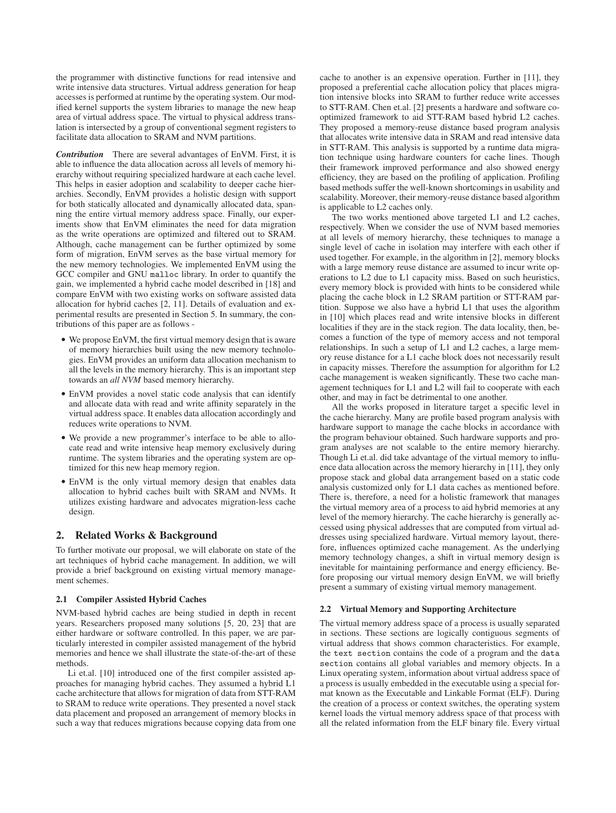the programmer with distinctive functions for read intensive and write intensive data structures. Virtual address generation for heap accesses is performed at runtime by the operating system. Our modified kernel supports the system libraries to manage the new heap area of virtual address space. The virtual to physical address translation is intersected by a group of conventional segment registers to facilitate data allocation to SRAM and NVM partitions.

*Contribution* There are several advantages of EnVM. First, it is able to influence the data allocation across all levels of memory hierarchy without requiring specialized hardware at each cache level. This helps in easier adoption and scalability to deeper cache hierarchies. Secondly, EnVM provides a holistic design with support for both statically allocated and dynamically allocated data, spanning the entire virtual memory address space. Finally, our experiments show that EnVM eliminates the need for data migration as the write operations are optimized and filtered out to SRAM. Although, cache management can be further optimized by some form of migration, EnVM serves as the base virtual memory for the new memory technologies. We implemented EnVM using the GCC compiler and GNU malloc library. In order to quantify the gain, we implemented a hybrid cache model described in [18] and compare EnVM with two existing works on software assisted data allocation for hybrid caches [2, 11]. Details of evaluation and experimental results are presented in Section 5. In summary, the contributions of this paper are as follows -

- We propose EnVM, the first virtual memory design that is aware of memory hierarchies built using the new memory technologies. EnVM provides an uniform data allocation mechanism to all the levels in the memory hierarchy. This is an important step towards an *all NVM* based memory hierarchy.
- EnVM provides a novel static code analysis that can identify and allocate data with read and write affinity separately in the virtual address space. It enables data allocation accordingly and reduces write operations to NVM.
- We provide a new programmer's interface to be able to allocate read and write intensive heap memory exclusively during runtime. The system libraries and the operating system are optimized for this new heap memory region.
- EnVM is the only virtual memory design that enables data allocation to hybrid caches built with SRAM and NVMs. It utilizes existing hardware and advocates migration-less cache design.

# 2. Related Works & Background

To further motivate our proposal, we will elaborate on state of the art techniques of hybrid cache management. In addition, we will provide a brief background on existing virtual memory management schemes.

#### 2.1 Compiler Assisted Hybrid Caches

NVM-based hybrid caches are being studied in depth in recent years. Researchers proposed many solutions [5, 20, 23] that are either hardware or software controlled. In this paper, we are particularly interested in compiler assisted management of the hybrid memories and hence we shall illustrate the state-of-the-art of these methods.

Li et.al. [10] introduced one of the first compiler assisted approaches for managing hybrid caches. They assumed a hybrid L1 cache architecture that allows for migration of data from STT-RAM to SRAM to reduce write operations. They presented a novel stack data placement and proposed an arrangement of memory blocks in such a way that reduces migrations because copying data from one

cache to another is an expensive operation. Further in [11], they proposed a preferential cache allocation policy that places migration intensive blocks into SRAM to further reduce write accesses to STT-RAM. Chen et.al. [2] presents a hardware and software cooptimized framework to aid STT-RAM based hybrid L2 caches. They proposed a memory-reuse distance based program analysis that allocates write intensive data in SRAM and read intensive data in STT-RAM. This analysis is supported by a runtime data migration technique using hardware counters for cache lines. Though their framework improved performance and also showed energy efficiency, they are based on the profiling of application. Profiling based methods suffer the well-known shortcomings in usability and scalability. Moreover, their memory-reuse distance based algorithm is applicable to L2 caches only.

The two works mentioned above targeted L1 and L2 caches, respectively. When we consider the use of NVM based memories at all levels of memory hierarchy, these techniques to manage a single level of cache in isolation may interfere with each other if used together. For example, in the algorithm in [2], memory blocks with a large memory reuse distance are assumed to incur write operations to L2 due to L1 capacity miss. Based on such heuristics, every memory block is provided with hints to be considered while placing the cache block in L2 SRAM partition or STT-RAM partition. Suppose we also have a hybrid L1 that uses the algorithm in [10] which places read and write intensive blocks in different localities if they are in the stack region. The data locality, then, becomes a function of the type of memory access and not temporal relationships. In such a setup of L1 and L2 caches, a large memory reuse distance for a L1 cache block does not necessarily result in capacity misses. Therefore the assumption for algorithm for L2 cache management is weaken significantly. These two cache management techniques for L1 and L2 will fail to cooperate with each other, and may in fact be detrimental to one another.

All the works proposed in literature target a specific level in the cache hierarchy. Many are profile based program analysis with hardware support to manage the cache blocks in accordance with the program behaviour obtained. Such hardware supports and program analyses are not scalable to the entire memory hierarchy. Though Li et.al. did take advantage of the virtual memory to influence data allocation across the memory hierarchy in [11], they only propose stack and global data arrangement based on a static code analysis customized only for L1 data caches as mentioned before. There is, therefore, a need for a holistic framework that manages the virtual memory area of a process to aid hybrid memories at any level of the memory hierarchy. The cache hierarchy is generally accessed using physical addresses that are computed from virtual addresses using specialized hardware. Virtual memory layout, therefore, influences optimized cache management. As the underlying memory technology changes, a shift in virtual memory design is inevitable for maintaining performance and energy efficiency. Before proposing our virtual memory design EnVM, we will briefly present a summary of existing virtual memory management.

#### 2.2 Virtual Memory and Supporting Architecture

The virtual memory address space of a process is usually separated in sections. These sections are logically contiguous segments of virtual address that shows common characteristics. For example, the text section contains the code of a program and the data section contains all global variables and memory objects. In a Linux operating system, information about virtual address space of a process is usually embedded in the executable using a special format known as the Executable and Linkable Format (ELF). During the creation of a process or context switches, the operating system kernel loads the virtual memory address space of that process with all the related information from the ELF binary file. Every virtual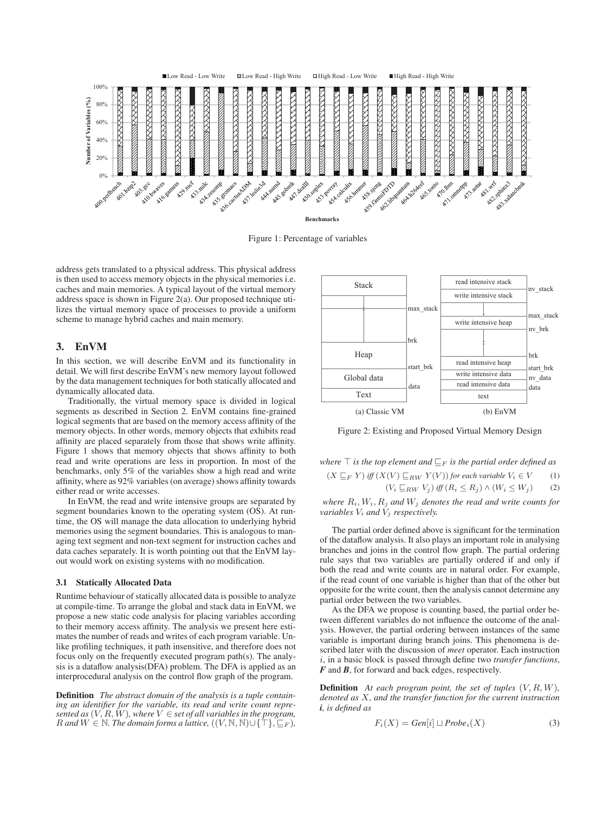

Figure 1: Percentage of variables

address gets translated to a physical address. This physical address is then used to access memory objects in the physical memories i.e. caches and main memories. A typical layout of the virtual memory address space is shown in Figure 2(a). Our proposed technique utilizes the virtual memory space of processes to provide a uniform scheme to manage hybrid caches and main memory.

# 3. EnVM

In this section, we will describe EnVM and its functionality in detail. We will first describe EnVM's new memory layout followed by the data management techniques for both statically allocated and dynamically allocated data.

Traditionally, the virtual memory space is divided in logical segments as described in Section 2. EnVM contains fine-grained logical segments that are based on the memory access affinity of the memory objects. In other words, memory objects that exhibits read affinity are placed separately from those that shows write affinity. Figure 1 shows that memory objects that shows affinity to both read and write operations are less in proportion. In most of the benchmarks, only 5% of the variables show a high read and write affinity, where as 92% variables (on average) shows affinity towards either read or write accesses.

In EnVM, the read and write intensive groups are separated by segment boundaries known to the operating system (OS). At runtime, the OS will manage the data allocation to underlying hybrid memories using the segment boundaries. This is analogous to managing text segment and non-text segment for instruction caches and data caches separately. It is worth pointing out that the EnVM layout would work on existing systems with no modification.

#### 3.1 Statically Allocated Data

Runtime behaviour of statically allocated data is possible to analyze at compile-time. To arrange the global and stack data in EnVM, we propose a new static code analysis for placing variables according to their memory access affinity. The analysis we present here estimates the number of reads and writes of each program variable. Unlike profiling techniques, it path insensitive, and therefore does not focus only on the frequently executed program path(s). The analysis is a dataflow analysis(DFA) problem. The DFA is applied as an interprocedural analysis on the control flow graph of the program.

Definition *The abstract domain of the analysis is a tuple containing an identifier for the variable, its read and write count represented as*  $(V, R, W)$ *, where*  $V \in$  *set of all variables in the program, R* and  $W \in \mathbb{N}$ *. The domain forms a lattice,*  $((V, \mathbb{N}, \mathbb{N}) \cup {\top}, \sqsubseteq_F)$ *,* 



Figure 2: Existing and Proposed Virtual Memory Design

*where*  $\top$  *is the top element and*  $\sqsubseteq_F$  *is the partial order defined as* 

 $(X \sqsubseteq_F Y)$  *iff*  $(X(V) \sqsubseteq_{RW} Y(V))$  *for each variable*  $V_i \in V$  (1)

$$
(V_i \sqsubseteq_{RW} V_j) \text{ iff } (R_i \le R_j) \land (W_i \le W_j) \tag{2}
$$

*where*  $R_i$ ,  $W_i$ ,  $R_j$  *and*  $W_j$  *denotes the read and write counts for variables*  $V_i$  *and*  $V_j$  *respectively.* 

The partial order defined above is significant for the termination of the dataflow analysis. It also plays an important role in analysing branches and joins in the control flow graph. The partial ordering rule says that two variables are partially ordered if and only if both the read and write counts are in natural order. For example, if the read count of one variable is higher than that of the other but opposite for the write count, then the analysis cannot determine any partial order between the two variables.

As the DFA we propose is counting based, the partial order between different variables do not influence the outcome of the analysis. However, the partial ordering between instances of the same variable is important during branch joins. This phenomena is described later with the discussion of *meet* operator. Each instruction i, in a basic block is passed through define two *transfer functions*, *F* and *B*, for forward and back edges, respectively.

Definition *At each program point, the set of tuples* (V, R, W)*, denoted as* X*, and the transfer function for the current instruction i, is defined as*

$$
F_i(X) = Gen[i] \sqcup Prob_{i}(X)
$$
 (3)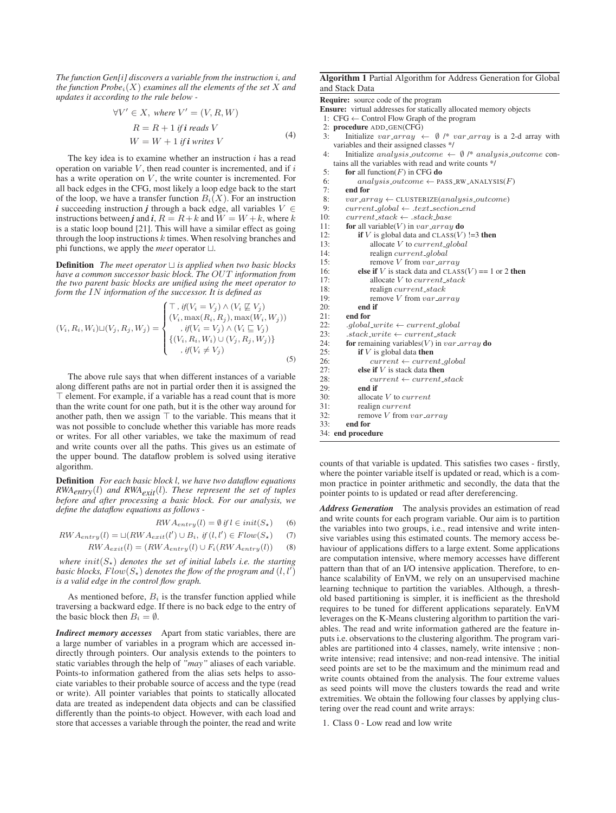*The function Gen[i] discovers a variable from the instruction* i*, and the function*  $Probe_i(X)$  *examines all the elements of the set* X and *updates it according to the rule below -*

$$
\forall V' \in X, \text{ where } V' = (V, R, W)
$$
  
\n
$$
R = R + 1 \text{ if } i \text{ reads } V
$$
  
\n
$$
W = W + 1 \text{ if } i \text{ writes } V
$$
\n(4)

The key idea is to examine whether an instruction  $i$  has a read operation on variable  $V$ , then read counter is incremented, and if  $i$ has a write operation on  $V$ , the write counter is incremented. For all back edges in the CFG, most likely a loop edge back to the start of the loop, we have a transfer function  $B_i(X)$ . For an instruction *i* succeeding instruction *j* through a back edge, all variables  $V \in$ instructions between *j* and *i*,  $R = R + k$  and  $W = W + k$ , where k is a static loop bound [21]. This will have a similar effect as going through the loop instructions  $k$  times. When resolving branches and phi functions, we apply the *meet* operator  $\sqcup$ .

**Definition** *The meet operator*  $\sqcup$  *is applied when two basic blocks have a common successor basic block. The* OUT *information from the two parent basic blocks are unified using the meet operator to form the* IN *information of the successor. It is defined as*

$$
(V_i, R_i, W_i) \sqcup (V_j, R_j, W_j) = \begin{cases} \top, \text{ if } (V_i = V_j) \land (V_i \not\subseteq V_j) \\ (V_i, \max(R_i, R_j), \max(W_i, W_j)) \\ \text{ if } (V_i = V_j) \land (V_i \sqsubseteq V_j) \\ \{ (V_i, R_i, W_i) \cup (V_j, R_j, W_j) \} \\ \text{ if } (V_i \neq V_j) \end{cases} \tag{5}
$$

The above rule says that when different instances of a variable along different paths are not in partial order then it is assigned the  $\top$  element. For example, if a variable has a read count that is more than the write count for one path, but it is the other way around for another path, then we assign  $\top$  to the variable. This means that it was not possible to conclude whether this variable has more reads or writes. For all other variables, we take the maximum of read and write counts over all the paths. This gives us an estimate of the upper bound. The dataflow problem is solved using iterative algorithm.

Definition *For each basic block* l*, we have two dataflow equations RWAentry*(l) *and RWAexit*(l)*. These represent the set of tuples before and after processing a basic block. For our analysis, we define the dataflow equations as follows -*

$$
RWA_{entry}(l) = \emptyset \text{ if } l \in init(S_\star) \qquad (6)
$$

$$
RWA_{entry}(l) = \sqcup (RWA_{exit}(l') \cup B_i, \; \text{if } (l, l') \in Flow(S_{\star}) \quad (7)
$$

$$
RWA_{exit}(l) = (RWA_{entry}(l) \cup F_i(RWA_{entry}(l))
$$
 (8)

where  $init(S_{\star})$  *denotes the set of initial labels i.e. the starting* basic blocks,  $Flow(S_{\star})$  denotes the flow of the program and  $(l, l')$ *is a valid edge in the control flow graph.*

As mentioned before,  $B_i$  is the transfer function applied while traversing a backward edge. If there is no back edge to the entry of the basic block then  $B_i = \emptyset$ .

*Indirect memory accesses* Apart from static variables, there are a large number of variables in a program which are accessed indirectly through pointers. Our analysis extends to the pointers to static variables through the help of *"may"* aliases of each variable. Points-to information gathered from the alias sets helps to associate variables to their probable source of access and the type (read or write). All pointer variables that points to statically allocated data are treated as independent data objects and can be classified differently than the points-to object. However, with each load and store that accesses a variable through the pointer, the read and write

#### Algorithm 1 Partial Algorithm for Address Generation for Global and Stack Data

|     | <b>Require:</b> source code of the program                                   |  |  |  |  |  |
|-----|------------------------------------------------------------------------------|--|--|--|--|--|
|     | <b>Ensure:</b> virtual addresses for statically allocated memory objects     |  |  |  |  |  |
|     | 1: $CFG \leftarrow$ Control Flow Graph of the program                        |  |  |  |  |  |
|     | 2: procedure ADD_GEN(CFG)                                                    |  |  |  |  |  |
| 3:  | Initialize var_array $\leftarrow \emptyset$ /* var_array is a 2-d array with |  |  |  |  |  |
|     | variables and their assigned classes */                                      |  |  |  |  |  |
| 4:  | Initialize analysis_outcome $\leftarrow \emptyset$ /* analysis_outcome con-  |  |  |  |  |  |
|     | tains all the variables with read and write counts */                        |  |  |  |  |  |
| 5:  | for all function( $F$ ) in CFG do                                            |  |  |  |  |  |
| 6:  | analysis_outcome $\leftarrow$ PASS_RW_ANALYSIS(F)                            |  |  |  |  |  |
| 7:  | end for                                                                      |  |  |  |  |  |
| 8:  | $var\_array \leftarrow$ CLUSTERIZE(analysis_outcome)                         |  |  |  |  |  |
| 9:  | $current\_global \leftarrow .text\_section\_end$                             |  |  |  |  |  |
| 10: | $current\_stack \leftarrow .stack\_base$                                     |  |  |  |  |  |
| 11: | <b>for</b> all variable(V) in var_array <b>do</b>                            |  |  |  |  |  |
| 12: | if V is global data and $CLASS(V)$ !=3 then                                  |  |  |  |  |  |
| 13: | allocate $V$ to $current\_global$                                            |  |  |  |  |  |
| 14: | realign current_global                                                       |  |  |  |  |  |
| 15: | remove $V$ from $var_{array}$                                                |  |  |  |  |  |
| 16: | else if V is stack data and $CLASS(V) == 1$ or 2 then                        |  |  |  |  |  |
| 17: | allocate V to <i>current_stack</i>                                           |  |  |  |  |  |
| 18: | realign current_stack                                                        |  |  |  |  |  |
| 19: | remove $V$ from $var\_array$                                                 |  |  |  |  |  |
| 20: | end if                                                                       |  |  |  |  |  |
| 21: | end for                                                                      |  |  |  |  |  |
| 22: | $. global\_write \leftarrow current\_global$                                 |  |  |  |  |  |
| 23: | $. stack\_write \leftarrow current\_stack$                                   |  |  |  |  |  |
| 24: | for remaining variables $(V)$ in $var_{array}$ do                            |  |  |  |  |  |
| 25: | if $V$ is global data then                                                   |  |  |  |  |  |
| 26: | $current \leftarrow current\_global$                                         |  |  |  |  |  |
| 27: | else if $V$ is stack data then                                               |  |  |  |  |  |
| 28: | $current \leftarrow current\_stack$                                          |  |  |  |  |  |
| 29: | end if                                                                       |  |  |  |  |  |
| 30: | allocate $V$ to <i>current</i>                                               |  |  |  |  |  |
| 31: | realign current                                                              |  |  |  |  |  |
| 32: | remove $V$ from $var_{array}$                                                |  |  |  |  |  |
| 33: | end for                                                                      |  |  |  |  |  |
|     | 34: end procedure                                                            |  |  |  |  |  |

counts of that variable is updated. This satisfies two cases - firstly, where the pointer variable itself is updated or read, which is a common practice in pointer arithmetic and secondly, the data that the pointer points to is updated or read after dereferencing.

*Address Generation* The analysis provides an estimation of read and write counts for each program variable. Our aim is to partition the variables into two groups, i.e., read intensive and write intensive variables using this estimated counts. The memory access behaviour of applications differs to a large extent. Some applications are computation intensive, where memory accesses have different pattern than that of an I/O intensive application. Therefore, to enhance scalability of EnVM, we rely on an unsupervised machine learning technique to partition the variables. Although, a threshold based partitioning is simpler, it is inefficient as the threshold requires to be tuned for different applications separately. EnVM leverages on the K-Means clustering algorithm to partition the variables. The read and write information gathered are the feature inputs i.e. observations to the clustering algorithm. The program variables are partitioned into 4 classes, namely, write intensive ; nonwrite intensive; read intensive; and non-read intensive. The initial seed points are set to be the maximum and the minimum read and write counts obtained from the analysis. The four extreme values as seed points will move the clusters towards the read and write extremities. We obtain the following four classes by applying clustering over the read count and write arrays:

1. Class 0 - Low read and low write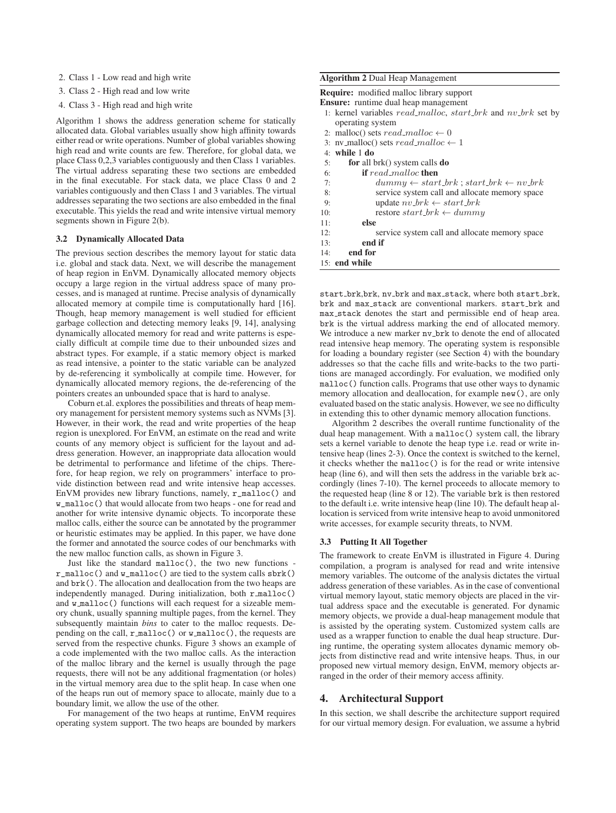- 2. Class 1 Low read and high write
- 3. Class 2 High read and low write
- 4. Class 3 High read and high write

Algorithm 1 shows the address generation scheme for statically allocated data. Global variables usually show high affinity towards either read or write operations. Number of global variables showing high read and write counts are few. Therefore, for global data, we place Class 0,2,3 variables contiguously and then Class 1 variables. The virtual address separating these two sections are embedded in the final executable. For stack data, we place Class 0 and 2 variables contiguously and then Class 1 and 3 variables. The virtual addresses separating the two sections are also embedded in the final executable. This yields the read and write intensive virtual memory segments shown in Figure 2(b).

#### 3.2 Dynamically Allocated Data

The previous section describes the memory layout for static data i.e. global and stack data. Next, we will describe the management of heap region in EnVM. Dynamically allocated memory objects occupy a large region in the virtual address space of many processes, and is managed at runtime. Precise analysis of dynamically allocated memory at compile time is computationally hard [16]. Though, heap memory management is well studied for efficient garbage collection and detecting memory leaks [9, 14], analysing dynamically allocated memory for read and write patterns is especially difficult at compile time due to their unbounded sizes and abstract types. For example, if a static memory object is marked as read intensive, a pointer to the static variable can be analyzed by de-referencing it symbolically at compile time. However, for dynamically allocated memory regions, the de-referencing of the pointers creates an unbounded space that is hard to analyse.

Coburn et.al. explores the possibilities and threats of heap memory management for persistent memory systems such as NVMs [3]. However, in their work, the read and write properties of the heap region is unexplored. For EnVM, an estimate on the read and write counts of any memory object is sufficient for the layout and address generation. However, an inappropriate data allocation would be detrimental to performance and lifetime of the chips. Therefore, for heap region, we rely on programmers' interface to provide distinction between read and write intensive heap accesses. EnVM provides new library functions, namely, r\_malloc() and w\_malloc() that would allocate from two heaps - one for read and another for write intensive dynamic objects. To incorporate these malloc calls, either the source can be annotated by the programmer or heuristic estimates may be applied. In this paper, we have done the former and annotated the source codes of our benchmarks with the new malloc function calls, as shown in Figure 3.

Just like the standard malloc(), the two new functions r\_malloc() and w\_malloc() are tied to the system calls sbrk() and brk(). The allocation and deallocation from the two heaps are independently managed. During initialization, both r malloc() and w\_malloc() functions will each request for a sizeable memory chunk, usually spanning multiple pages, from the kernel. They subsequently maintain *bins* to cater to the malloc requests. Depending on the call,  $r_{\text{malloc}}()$  or  $w_{\text{malloc}}()$ , the requests are served from the respective chunks. Figure 3 shows an example of a code implemented with the two malloc calls. As the interaction of the malloc library and the kernel is usually through the page requests, there will not be any additional fragmentation (or holes) in the virtual memory area due to the split heap. In case when one of the heaps run out of memory space to allocate, mainly due to a boundary limit, we allow the use of the other.

For management of the two heaps at runtime, EnVM requires operating system support. The two heaps are bounded by markers

# Algorithm 2 Dual Heap Management

Require: modified malloc library support

Ensure: runtime dual heap management

- 1: kernel variables  $read\_malloc$ ,  $start\_brk$  and  $nv\_brk$  set by operating system
- 2: malloc() sets read\_malloc  $\leftarrow 0$
- 3: nv\_malloc() sets  $read\_malloc \leftarrow 1$ <br>4: **while** 1 **do**
- while 1 do
- 5: for all brk() system calls do
- 6: **if** read\_malloc **then**<br>7:  $dummu \leftarrow star$
- 7: dummy  $\leftarrow$  start\_brk ; start\_brk  $\leftarrow$  nv\_brk 8.
- service system call and allocate memory space
- 9: update  $nv\_brk \leftarrow start\_brk$ <br>10: restore start brk  $\leftarrow dummy$
- 10: restore  $start\_brk \leftarrow dummy$ <br>11: **else** else
- 
- 12: service system call and allocate memory space
- 13: end if

14: end for

15: end while

start\_brk, brk, nv\_brk and max\_stack, where both start\_brk, brk and max stack are conventional markers. start brk and max stack denotes the start and permissible end of heap area. brk is the virtual address marking the end of allocated memory. We introduce a new marker nv\_brk to denote the end of allocated read intensive heap memory. The operating system is responsible for loading a boundary register (see Section 4) with the boundary addresses so that the cache fills and write-backs to the two partitions are managed accordingly. For evaluation, we modified only malloc() function calls. Programs that use other ways to dynamic memory allocation and deallocation, for example new(), are only evaluated based on the static analysis. However, we see no difficulty in extending this to other dynamic memory allocation functions.

Algorithm 2 describes the overall runtime functionality of the dual heap management. With a malloc() system call, the library sets a kernel variable to denote the heap type i.e. read or write intensive heap (lines 2-3). Once the context is switched to the kernel, it checks whether the malloc() is for the read or write intensive heap (line 6), and will then sets the address in the variable brk accordingly (lines 7-10). The kernel proceeds to allocate memory to the requested heap (line 8 or 12). The variable brk is then restored to the default i.e. write intensive heap (line 10). The default heap allocation is serviced from write intensive heap to avoid unmonitored write accesses, for example security threats, to NVM.

#### 3.3 Putting It All Together

The framework to create EnVM is illustrated in Figure 4. During compilation, a program is analysed for read and write intensive memory variables. The outcome of the analysis dictates the virtual address generation of these variables. As in the case of conventional virtual memory layout, static memory objects are placed in the virtual address space and the executable is generated. For dynamic memory objects, we provide a dual-heap management module that is assisted by the operating system. Customized system calls are used as a wrapper function to enable the dual heap structure. During runtime, the operating system allocates dynamic memory objects from distinctive read and write intensive heaps. Thus, in our proposed new virtual memory design, EnVM, memory objects arranged in the order of their memory access affinity.

# 4. Architectural Support

In this section, we shall describe the architecture support required for our virtual memory design. For evaluation, we assume a hybrid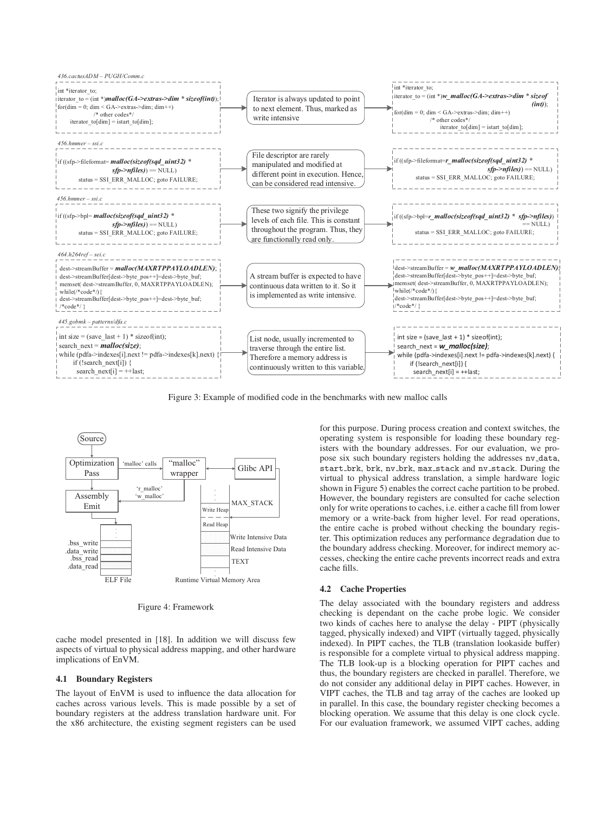

Figure 3: Example of modified code in the benchmarks with new malloc calls



Figure 4: Framework

cache model presented in [18]. In addition we will discuss few aspects of virtual to physical address mapping, and other hardware implications of EnVM.

# **4.1 Boundary Registers**

The layout of EnVM is used to influence the data allocation for caches across various levels. This is made possible by a set of boundary registers at the address translation hardware unit. For the x86 architecture, the existing segment registers can be used

for this purpose. During process creation and context switches, the operating system is responsible for loading these boundary registers with the boundary addresses. For our evaluation, we propose six such boundary registers holding the addresses nv\_data, start\_brk, brk, nv\_brk, max\_stack and nv\_stack. During the virtual to physical address translation, a simple hardware logic shown in Figure 5) enables the correct cache partition to be probed. However, the boundary registers are consulted for cache selection only for write operations to caches, i.e. either a cache fill from lower memory or a write-back from higher level. For read operations, the entire cache is probed without checking the boundary register. This optimization reduces any performance degradation due to the boundary address checking. Moreover, for indirect memory accesses, checking the entire cache prevents incorrect reads and extra cache fills.

#### $4.2$ **Cache Properties**

The delay associated with the boundary registers and address checking is dependant on the cache probe logic. We consider two kinds of caches here to analyse the delay - PIPT (physically tagged, physically indexed) and VIPT (virtually tagged, physically indexed). In PIPT caches, the TLB (translation lookaside buffer) is responsible for a complete virtual to physical address mapping. The TLB look-up is a blocking operation for PIPT caches and thus, the boundary registers are checked in parallel. Therefore, we do not consider any additional delay in PIPT caches. However, in VIPT caches, the TLB and tag array of the caches are looked up in parallel. In this case, the boundary register checking becomes a blocking operation. We assume that this delay is one clock cycle. For our evaluation framework, we assumed VIPT caches, adding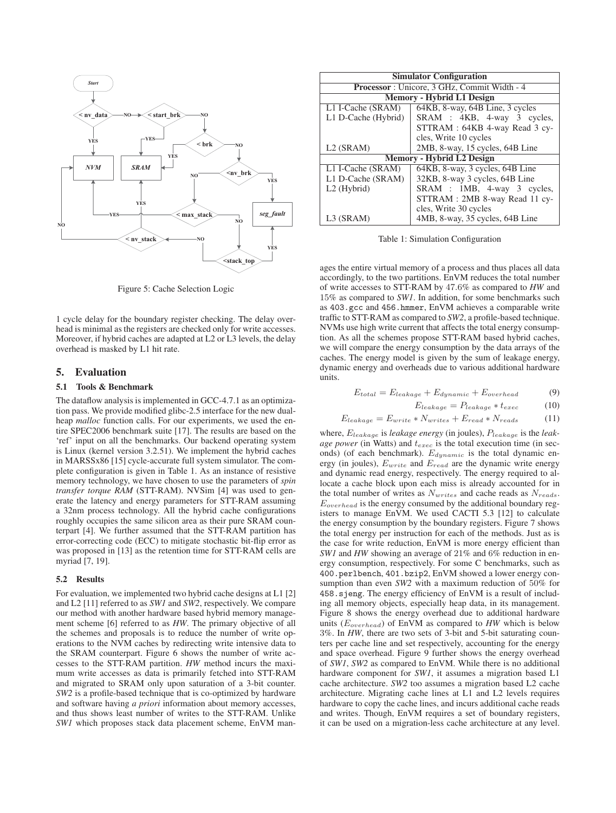

Figure 5: Cache Selection Logic

1 cycle delay for the boundary register checking. The delay overhead is minimal as the registers are checked only for write accesses. Moreover, if hybrid caches are adapted at L2 or L3 levels, the delay overhead is masked by L1 hit rate.

#### 5. Evaluation

### 5.1 Tools & Benchmark

The dataflow analysis is implemented in GCC-4.7.1 as an optimization pass. We provide modified glibc-2.5 interface for the new dualheap *malloc* function calls. For our experiments, we used the entire SPEC2006 benchmark suite [17]. The results are based on the 'ref' input on all the benchmarks. Our backend operating system is Linux (kernel version 3.2.51). We implement the hybrid caches in MARSSx86 [15] cycle-accurate full system simulator. The complete configuration is given in Table 1. As an instance of resistive memory technology, we have chosen to use the parameters of *spin transfer torque RAM* (STT-RAM). NVSim [4] was used to generate the latency and energy parameters for STT-RAM assuming a 32nm process technology. All the hybrid cache configurations roughly occupies the same silicon area as their pure SRAM counterpart [4]. We further assumed that the STT-RAM partition has error-correcting code (ECC) to mitigate stochastic bit-flip error as was proposed in [13] as the retention time for STT-RAM cells are myriad [7, 19].

#### 5.2 Results

For evaluation, we implemented two hybrid cache designs at L1 [2] and L2 [11] referred to as *SW1* and *SW2*, respectively. We compare our method with another hardware based hybrid memory management scheme [6] referred to as *HW*. The primary objective of all the schemes and proposals is to reduce the number of write operations to the NVM caches by redirecting write intensive data to the SRAM counterpart. Figure 6 shows the number of write accesses to the STT-RAM partition. *HW* method incurs the maximum write accesses as data is primarily fetched into STT-RAM and migrated to SRAM only upon saturation of a 3-bit counter. *SW2* is a profile-based technique that is co-optimized by hardware and software having *a priori* information about memory accesses, and thus shows least number of writes to the STT-RAM. Unlike *SW1* which proposes stack data placement scheme, EnVM man-

| <b>Simulator Configuration</b>              |                                 |  |  |  |  |  |
|---------------------------------------------|---------------------------------|--|--|--|--|--|
| Processor: Unicore, 3 GHz, Commit Width - 4 |                                 |  |  |  |  |  |
| <b>Memory - Hybrid L1 Design</b>            |                                 |  |  |  |  |  |
| L1 I-Cache (SRAM)                           | 64KB, 8-way, 64B Line, 3 cycles |  |  |  |  |  |
| L1 D-Cache (Hybrid)                         | SRAM : 4KB, 4-way 3 cycles,     |  |  |  |  |  |
|                                             | STTRAM: 64KB 4-way Read 3 cy-   |  |  |  |  |  |
|                                             | cles, Write 10 cycles           |  |  |  |  |  |
| L <sub>2</sub> (SRAM)                       | 2MB, 8-way, 15 cycles, 64B Line |  |  |  |  |  |
| <b>Memory - Hybrid L2 Design</b>            |                                 |  |  |  |  |  |
| L1 I-Cache (SRAM)                           | 64KB, 8-way, 3 cycles, 64B Line |  |  |  |  |  |
| L1 D-Cache (SRAM)                           | 32KB, 8-way 3 cycles, 64B Line  |  |  |  |  |  |
| L <sub>2</sub> (Hybrid)                     | SRAM : 1MB, 4-way 3 cycles,     |  |  |  |  |  |
|                                             | STTRAM: 2MB 8-way Read 11 cy-   |  |  |  |  |  |
|                                             | cles, Write 30 cycles           |  |  |  |  |  |
| L3 (SRAM)                                   | 4MB, 8-way, 35 cycles, 64B Line |  |  |  |  |  |

Table 1: Simulation Configuration

ages the entire virtual memory of a process and thus places all data accordingly, to the two partitions. EnVM reduces the total number of write accesses to STT-RAM by 47.6% as compared to *HW* and 15% as compared to *SW1*. In addition, for some benchmarks such as 403.gcc and 456.hmmer, EnVM achieves a comparable write traffic to STT-RAM as compared to *SW2*, a profile-based technique. NVMs use high write current that affects the total energy consumption. As all the schemes propose STT-RAM based hybrid caches, we will compare the energy consumption by the data arrays of the caches. The energy model is given by the sum of leakage energy, dynamic energy and overheads due to various additional hardware units.

$$
E_{total} = E_{leakage} + E_{dynamic} + E_{overhead}
$$
 (9)

$$
E_{leakage} = P_{leakage} * t_{exec}
$$
 (10)

$$
E_{leakage} = E_{write} * N_{writes} + E_{read} * N_{reads}
$$
 (11)

where,  $E_{leakage}$  is *leakage energy* (in joules),  $P_{leakage}$  is the *leakage power* (in Watts) and  $t_{exec}$  is the total execution time (in seconds) (of each benchmark).  $E_{dynamic}$  is the total dynamic energy (in joules),  $E_{write}$  and  $E_{read}$  are the dynamic write energy and dynamic read energy, respectively. The energy required to allocate a cache block upon each miss is already accounted for in the total number of writes as  $N_{writes}$  and cache reads as  $N_{reads}$ .  $E_{overhead}$  is the energy consumed by the additional boundary registers to manage EnVM. We used CACTI 5.3 [12] to calculate the energy consumption by the boundary registers. Figure 7 shows the total energy per instruction for each of the methods. Just as is the case for write reduction, EnVM is more energy efficient than *SW1* and *HW* showing an average of 21% and 6% reduction in energy consumption, respectively. For some C benchmarks, such as 400.perlbench, 401.bzip2, EnVM showed a lower energy consumption than even *SW2* with a maximum reduction of 50% for 458.sjeng. The energy efficiency of EnVM is a result of including all memory objects, especially heap data, in its management. Figure 8 shows the energy overhead due to additional hardware units ( $E_{overhead}$ ) of EnVM as compared to *HW* which is below 3%. In *HW*, there are two sets of 3-bit and 5-bit saturating counters per cache line and set respectively, accounting for the energy and space overhead. Figure 9 further shows the energy overhead of *SW1*, *SW2* as compared to EnVM. While there is no additional hardware component for *SW1*, it assumes a migration based L1 cache architecture. *SW2* too assumes a migration based L2 cache architecture. Migrating cache lines at L1 and L2 levels requires hardware to copy the cache lines, and incurs additional cache reads and writes. Though, EnVM requires a set of boundary registers, it can be used on a migration-less cache architecture at any level.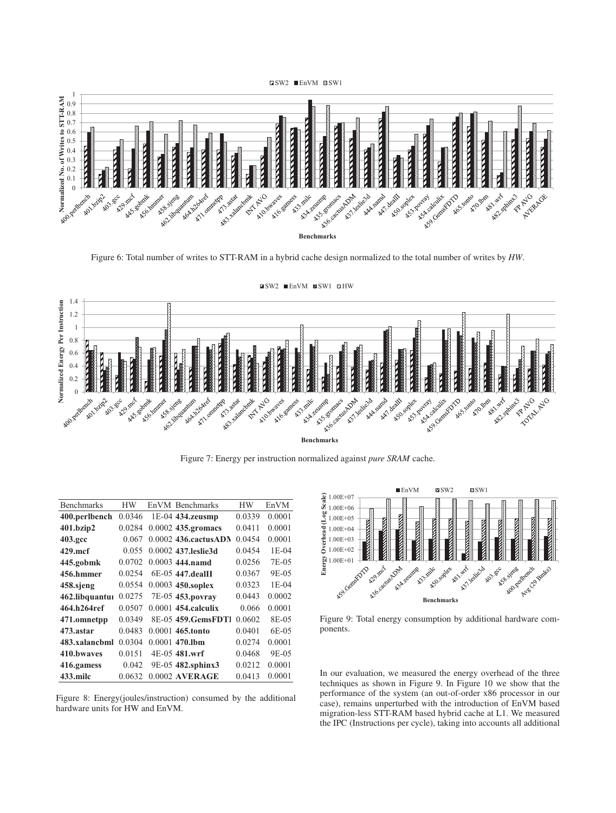

Figure 6: Total number of writes to STT-RAM in a hybrid cache design normalized to the total number of writes by HW.



Figure 7: Energy per instruction normalized against pure SRAM cache.

| <b>Benchmarks</b> | <b>HW</b> | EnVM Benchmarks           | <b>HW</b> | EnVM    |
|-------------------|-----------|---------------------------|-----------|---------|
| 400.perlbench     | 0.0346    | $1E-04$ 434.zeusmp        | 0.0339    | 0.0001  |
| 401.bzip2         | 0.0284    | 0.0002 435.gromacs        | 0.0411    | 0.0001  |
| $403.\text{gcc}$  | 0.067     | $0.0002$ 436.cactus $ADN$ | 0.0454    | 0.0001  |
| $429$ . mef       | 0.055     | 0.0002 437.leslie3d       | 0.0454    | $1E-04$ |
| 445.gobmk         | 0.0702    | $0.0003$ 444.namd         | 0.0256    | 7E-05   |
| 456.hmmer         | 0.0254    | 6E-05 447.dealII          | 0.0367    | 9E-05   |
| 458.sjeng         | 0.0554    | 0.0003 450.soplex         | 0.0323    | $1E-04$ |
| 462.libquantul    | 0.0275    | 7E-05 453.povray          | 0.0443    | 0.0002  |
| 464.h264ref       | 0.0507    | $0.0001$ 454.calculix     | 0.066     | 0.0001  |
| 471.omnetpp       | 0.0349    | 8E-05 459. GemsFDT1       | 0.0602    | 8E-05   |
| 473.astar         | 0.0483    | 0.0001 465.tonto          | 0.0401    | 6E-05   |
| 483.xalanchml     | 0.0304    | $0.0001$ 470.1bm          | 0.0274    | 0.0001  |
| 410.bwayes        | 0.0151    | 4E-05 481.wrf             | 0.0468    | 9E-05   |
| 416.gamess        | 0.042     | 9E-05 482.sphinx3         | 0.0212    | 0.0001  |
| 433.milc          | 0.0632    | 0.0002 AVERAGE            | 0.0413    | 0.0001  |

Figure 8: Energy(joules/instruction) consumed by the additional hardware units for HW and EnVM.



Figure 9: Total energy consumption by additional hardware components.

In our evaluation, we measured the energy overhead of the three techniques as shown in Figure 9. In Figure 10 we show that the performance of the system (an out-of-order x86 processor in our case), remains unperturbed with the introduction of EnVM based migration-less STT-RAM based hybrid cache at L1. We measured the IPC (Instructions per cycle), taking into accounts all additional

 $\square$  SW2  $\square$  EnVM  $\square$  SW1  $\square$  HW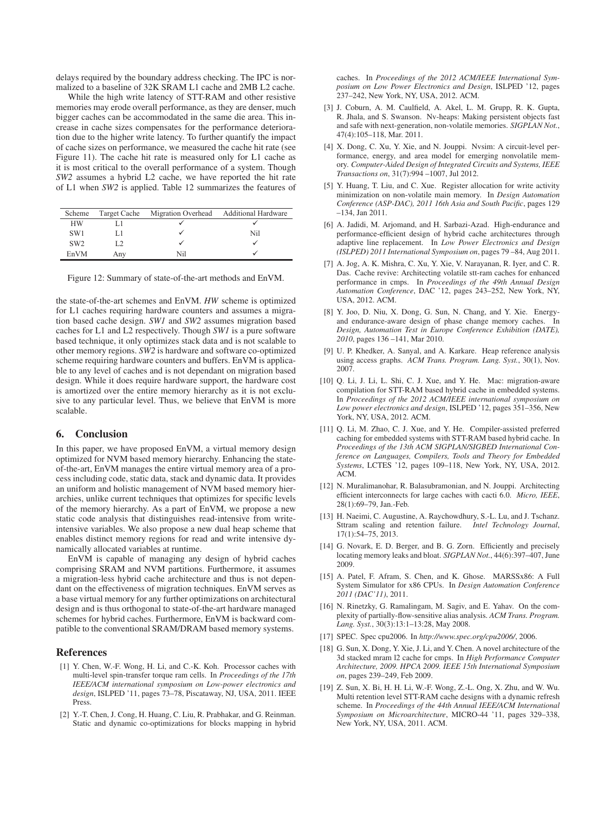delays required by the boundary address checking. The IPC is normalized to a baseline of 32K SRAM L1 cache and 2MB L2 cache.

While the high write latency of STT-RAM and other resistive memories may erode overall performance, as they are denser, much bigger caches can be accommodated in the same die area. This increase in cache sizes compensates for the performance deterioration due to the higher write latency. To further quantify the impact of cache sizes on performance, we measured the cache hit rate (see Figure 11). The cache hit rate is measured only for L1 cache as it is most critical to the overall performance of a system. Though *SW2* assumes a hybrid L2 cache, we have reported the hit rate of L1 when *SW2* is applied. Table 12 summarizes the features of

| Scheme          | Target Cache | Migration Overhead Additional Hardware |     |
|-----------------|--------------|----------------------------------------|-----|
| <b>HW</b>       |              |                                        |     |
| SW <sub>1</sub> |              |                                        | Nil |
| SW <sub>2</sub> | L2           |                                        |     |
| EnVM            | Anv          | Nil                                    |     |

Figure 12: Summary of state-of-the-art methods and EnVM.

the state-of-the-art schemes and EnVM. *HW* scheme is optimized for L1 caches requiring hardware counters and assumes a migration based cache design. *SW1* and *SW2* assumes migration based caches for L1 and L2 respectively. Though *SW1* is a pure software based technique, it only optimizes stack data and is not scalable to other memory regions. *SW2* is hardware and software co-optimized scheme requiring hardware counters and buffers. EnVM is applicable to any level of caches and is not dependant on migration based design. While it does require hardware support, the hardware cost is amortized over the entire memory hierarchy as it is not exclusive to any particular level. Thus, we believe that EnVM is more scalable.

# 6. Conclusion

In this paper, we have proposed EnVM, a virtual memory design optimized for NVM based memory hierarchy. Enhancing the stateof-the-art, EnVM manages the entire virtual memory area of a process including code, static data, stack and dynamic data. It provides an uniform and holistic management of NVM based memory hierarchies, unlike current techniques that optimizes for specific levels of the memory hierarchy. As a part of EnVM, we propose a new static code analysis that distinguishes read-intensive from writeintensive variables. We also propose a new dual heap scheme that enables distinct memory regions for read and write intensive dynamically allocated variables at runtime.

EnVM is capable of managing any design of hybrid caches comprising SRAM and NVM partitions. Furthermore, it assumes a migration-less hybrid cache architecture and thus is not dependant on the effectiveness of migration techniques. EnVM serves as a base virtual memory for any further optimizations on architectural design and is thus orthogonal to state-of-the-art hardware managed schemes for hybrid caches. Furthermore, EnVM is backward compatible to the conventional SRAM/DRAM based memory systems.

# References

- [1] Y. Chen, W.-F. Wong, H. Li, and C.-K. Koh. Processor caches with multi-level spin-transfer torque ram cells. In *Proceedings of the 17th IEEE/ACM international symposium on Low-power electronics and design*, ISLPED '11, pages 73–78, Piscataway, NJ, USA, 2011. IEEE Press.
- [2] Y.-T. Chen, J. Cong, H. Huang, C. Liu, R. Prabhakar, and G. Reinman. Static and dynamic co-optimizations for blocks mapping in hybrid

caches. In *Proceedings of the 2012 ACM/IEEE International Symposium on Low Power Electronics and Design*, ISLPED '12, pages 237–242, New York, NY, USA, 2012. ACM.

- [3] J. Coburn, A. M. Caulfield, A. Akel, L. M. Grupp, R. K. Gupta, R. Jhala, and S. Swanson. Nv-heaps: Making persistent objects fast and safe with next-generation, non-volatile memories. *SIGPLAN Not.*, 47(4):105–118, Mar. 2011.
- [4] X. Dong, C. Xu, Y. Xie, and N. Jouppi. Nvsim: A circuit-level performance, energy, and area model for emerging nonvolatile memory. *Computer-Aided Design of Integrated Circuits and Systems, IEEE Transactions on*, 31(7):994 –1007, Jul 2012.
- [5] Y. Huang, T. Liu, and C. Xue. Register allocation for write activity minimization on non-volatile main memory. In *Design Automation Conference (ASP-DAC), 2011 16th Asia and South Pacific*, pages 129 –134, Jan 2011.
- [6] A. Jadidi, M. Arjomand, and H. Sarbazi-Azad. High-endurance and performance-efficient design of hybrid cache architectures through adaptive line replacement. In *Low Power Electronics and Design (ISLPED) 2011 International Symposium on*, pages 79 –84, Aug 2011.
- [7] A. Jog, A. K. Mishra, C. Xu, Y. Xie, V. Narayanan, R. Iyer, and C. R. Das. Cache revive: Architecting volatile stt-ram caches for enhanced performance in cmps. In *Proceedings of the 49th Annual Design Automation Conference*, DAC '12, pages 243–252, New York, NY, USA, 2012. ACM.
- [8] Y. Joo, D. Niu, X. Dong, G. Sun, N. Chang, and Y. Xie. Energyand endurance-aware design of phase change memory caches. In *Design, Automation Test in Europe Conference Exhibition (DATE), 2010*, pages 136 –141, Mar 2010.
- [9] U. P. Khedker, A. Sanyal, and A. Karkare. Heap reference analysis using access graphs. *ACM Trans. Program. Lang. Syst.*, 30(1), Nov. 2007.
- [10] Q. Li, J. Li, L. Shi, C. J. Xue, and Y. He. Mac: migration-aware compilation for STT-RAM based hybrid cache in embedded systems. In *Proceedings of the 2012 ACM/IEEE international symposium on Low power electronics and design*, ISLPED '12, pages 351–356, New York, NY, USA, 2012. ACM.
- [11] Q. Li, M. Zhao, C. J. Xue, and Y. He. Compiler-assisted preferred caching for embedded systems with STT-RAM based hybrid cache. In *Proceedings of the 13th ACM SIGPLAN/SIGBED International Conference on Languages, Compilers, Tools and Theory for Embedded Systems*, LCTES '12, pages 109–118, New York, NY, USA, 2012. ACM.
- [12] N. Muralimanohar, R. Balasubramonian, and N. Jouppi. Architecting efficient interconnects for large caches with cacti 6.0. *Micro, IEEE*, 28(1):69–79, Jan.-Feb.
- [13] H. Naeimi, C. Augustine, A. Raychowdhury, S.-L. Lu, and J. Tschanz. Sttram scaling and retention failure. *Intel Technology Journal*, 17(1):54–75, 2013.
- [14] G. Novark, E. D. Berger, and B. G. Zorn. Efficiently and precisely locating memory leaks and bloat. *SIGPLAN Not.*, 44(6):397–407, June 2009.
- [15] A. Patel, F. Afram, S. Chen, and K. Ghose. MARSSx86: A Full System Simulator for x86 CPUs. In *Design Automation Conference 2011 (DAC'11)*, 2011.
- [16] N. Rinetzky, G. Ramalingam, M. Sagiv, and E. Yahav. On the complexity of partially-flow-sensitive alias analysis. *ACM Trans. Program. Lang. Syst.*, 30(3):13:1–13:28, May 2008.
- [17] SPEC. Spec cpu2006. In *http://www.spec.org/cpu2006/*, 2006.
- [18] G. Sun, X. Dong, Y. Xie, J. Li, and Y. Chen. A novel architecture of the 3d stacked mram l2 cache for cmps. In *High Performance Computer Architecture, 2009. HPCA 2009. IEEE 15th International Symposium on*, pages 239–249, Feb 2009.
- [19] Z. Sun, X. Bi, H. H. Li, W.-F. Wong, Z.-L. Ong, X. Zhu, and W. Wu. Multi retention level STT-RAM cache designs with a dynamic refresh scheme. In *Proceedings of the 44th Annual IEEE/ACM International Symposium on Microarchitecture*, MICRO-44 '11, pages 329–338, New York, NY, USA, 2011. ACM.